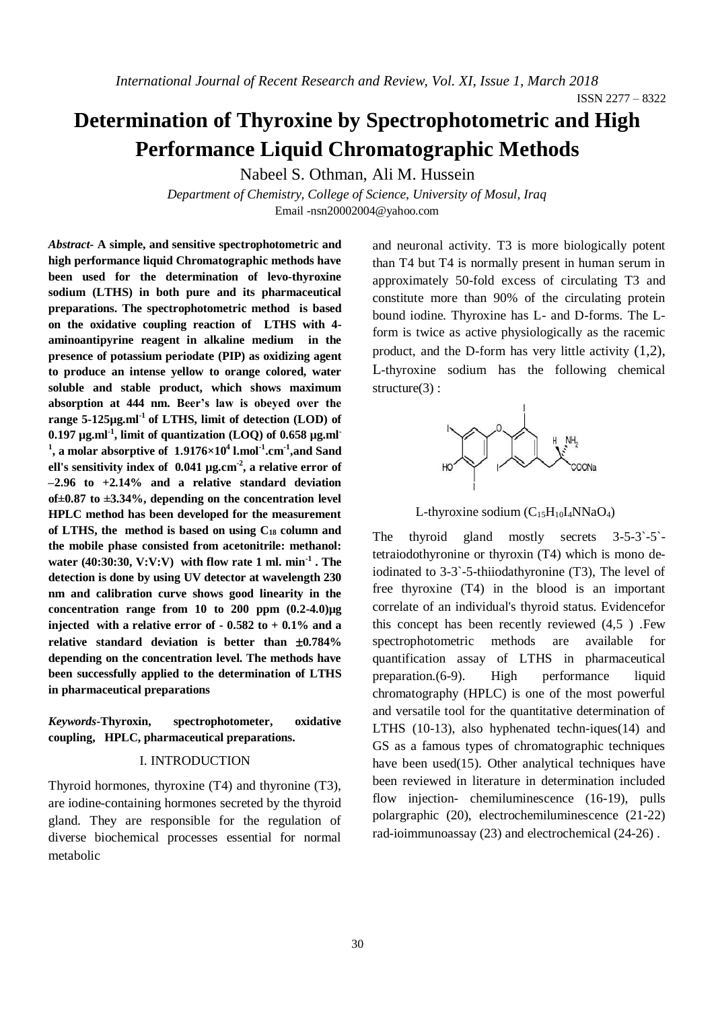ISSN 2277 – 8322

## **Determination of Thyroxine by Spectrophotometric and High Performance Liquid Chromatographic Methods**

Nabeel S. Othman, Ali M. Hussein

*Department of Chemistry, College of Science, University of Mosul, Iraq* Email -nsn20002004@yahoo.com

*Abstract***- A simple, and sensitive spectrophotometric and high performance liquid Chromatographic methods have been used for the determination of levo-thyroxine sodium (LTHS) in both pure and its pharmaceutical preparations. The spectrophotometric method is based on the oxidative coupling reaction of LTHS with 4 aminoantipyrine reagent in alkaline medium in the presence of potassium periodate (PIP) as oxidizing agent to produce an intense yellow to orange colored, water soluble and stable product, which shows maximum absorption at 444 nm. Beer's law is obeyed over the range 5-125µg.ml-1 of LTHS, limit of detection (LOD) of 0.197 µg.ml-1 , limit of quantization (LOQ) of 0.658 µg.ml-1 , a molar absorptive of 1.9176×10<sup>4</sup> l.mol-1 .cm-1 ,and Sand ell's sensitivity index of 0.041 µg.cm-2 , a relative error of –2.96 to +2.14% and a relative standard deviation of±0.87 to ±3.34%, depending on the concentration level HPLC method has been developed for the measurement of LTHS, the method is based on using C<sup>18</sup> column and the mobile phase consisted from acetonitrile: methanol: water (40:30:30, V:V:V) with flow rate 1 ml. min-1 . The detection is done by using UV detector at wavelength 230 nm and calibration curve shows good linearity in the concentration range from 10 to 200 ppm (0.2-4.0)µg injected with a relative error of - 0.582 to + 0.1% and a relative standard deviation is better than**  $\pm 0.784\%$ **depending on the concentration level. The methods have been successfully applied to the determination of LTHS in pharmaceutical preparations**

*Keywords***-Thyroxin, spectrophotometer, oxidative coupling, HPLC, pharmaceutical preparations.**

#### I. INTRODUCTION

Thyroid hormones, thyroxine (T4) and thyronine (T3), are iodine-containing hormones secreted by the thyroid gland. They are responsible for the regulation of diverse biochemical processes essential for normal metabolic

and neuronal activity. T3 is more biologically potent than T4 but T4 is normally present in human serum in approximately 50-fold excess of circulating T3 and constitute more than 90% of the circulating protein bound iodine. Thyroxine has L- and D-forms. The Lform is twice as active physiologically as the racemic product, and the D-form has very little activity (1,2), L-thyroxine sodium has the following chemical structure(3):



L-thyroxine sodium  $(C_{15}H_{10}I_4NNaO_4)$ 

The thyroid gland mostly secrets 3-5-3`-5` tetraiodothyronine or thyroxin (T4) which is mono deiodinated to 3-3`-5-thiiodathyronine (T3), The level of free thyroxine (T4) in the blood is an important correlate of an individual's thyroid status. Evidencefor this concept has been recently reviewed (4,5 ) .Few spectrophotometric methods are available for quantification assay of LTHS in pharmaceutical preparation.(6-9). High performance liquid chromatography (HPLC) is one of the most powerful and versatile tool for the quantitative determination of LTHS (10-13), also hyphenated techn-iques(14) and GS as a famous types of chromatographic techniques have been used(15). Other analytical techniques have been reviewed in literature in determination included flow injection- chemiluminescence (16-19), pulls polargraphic (20), electrochemiluminescence (21-22) rad-ioimmunoassay (23) and electrochemical (24-26) .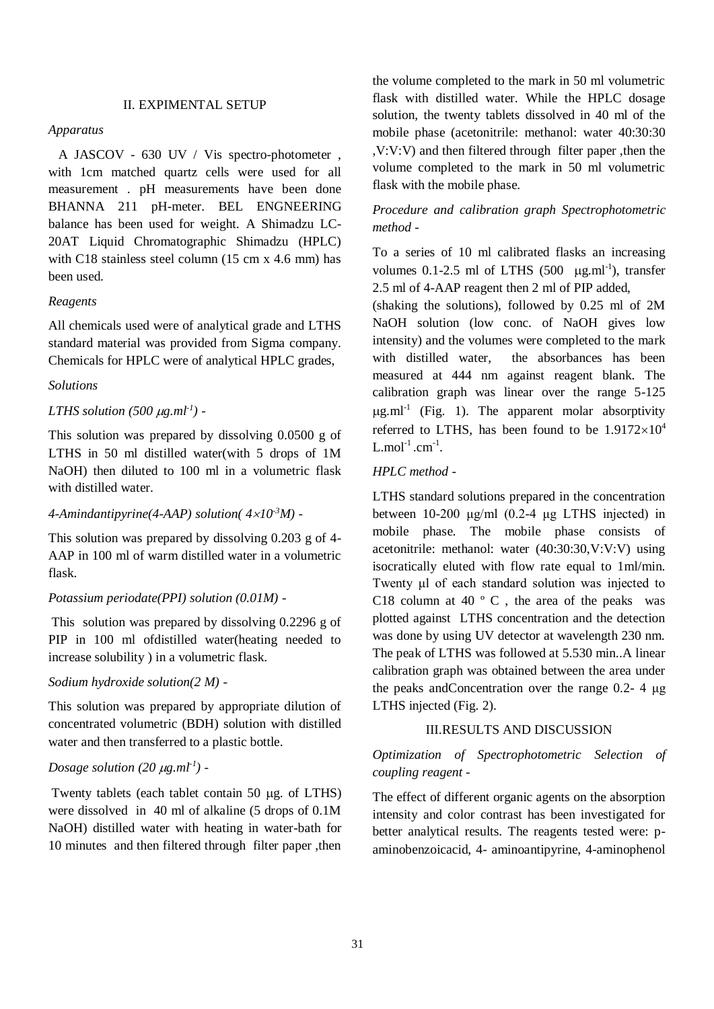#### II. EXPIMENTAL SETUP

#### *Apparatus*

 A JASCOV - 630 UV / Vis spectro-photometer , with 1cm matched quartz cells were used for all measurement . pH measurements have been done BHANNA 211 pH-meter. BEL ENGNEERING balance has been used for weight. A Shimadzu LC-20AT Liquid Chromatographic Shimadzu (HPLC) with C18 stainless steel column (15 cm x 4.6 mm) has been used.

#### *Reagents*

All chemicals used were of analytical grade and LTHS standard material was provided from Sigma company. Chemicals for HPLC were of analytical HPLC grades,

#### *Solutions*

#### *LTHS solution* (500  $\mu$ g.ml<sup>-1</sup>) -

This solution was prepared by dissolving 0.0500 g of LTHS in 50 ml distilled water(with 5 drops of 1M NaOH) then diluted to 100 ml in a volumetric flask with distilled water.

#### *4-Amindantipyrine(4-AAP) solution( 410-3M) -*

This solution was prepared by dissolving 0.203 g of 4- AAP in 100 ml of warm distilled water in a volumetric flask.

#### *Potassium periodate(PPI) solution (0.01M) -*

This solution was prepared by dissolving 0.2296 g of PIP in 100 ml ofdistilled water(heating needed to increase solubility ) in a volumetric flask.

#### *Sodium hydroxide solution(2 M) -*

This solution was prepared by appropriate dilution of concentrated volumetric (BDH) solution with distilled water and then transferred to a plastic bottle.

## *Dosage solution* (20  $\mu$ g.ml<sup>-1</sup>) -

Twenty tablets (each tablet contain  $50 \mu$ g. of LTHS) were dissolved in 40 ml of alkaline (5 drops of 0.1M NaOH) distilled water with heating in water-bath for 10 minutes and then filtered through filter paper ,then the volume completed to the mark in 50 ml volumetric flask with distilled water. While the HPLC dosage solution, the twenty tablets dissolved in 40 ml of the mobile phase (acetonitrile: methanol: water 40:30:30 ,V:V:V) and then filtered through filter paper ,then the volume completed to the mark in 50 ml volumetric flask with the mobile phase.

## *Procedure and calibration graph Spectrophotometric method -*

To a series of 10 ml calibrated flasks an increasing volumes  $0.1$ -2.5 ml of LTHS (500  $\mu$ g.ml<sup>-1</sup>), transfer 2.5 ml of 4-AAP reagent then 2 ml of PIP added,

(shaking the solutions), followed by 0.25 ml of 2M NaOH solution (low conc. of NaOH gives low intensity) and the volumes were completed to the mark with distilled water, the absorbances has been measured at 444 nm against reagent blank. The calibration graph was linear over the range 5-125  $\mu$ g.ml<sup>-1</sup> (Fig. 1). The apparent molar absorptivity referred to LTHS, has been found to be  $1.9172\times10^4$  $L$ .mol<sup>-1</sup>.cm<sup>-1</sup>.

#### *HPLC method -*

LTHS standard solutions prepared in the concentration between 10-200 μg/ml (0.2-4 μg LTHS injected) in mobile phase. The mobile phase consists of acetonitrile: methanol: water (40:30:30,V:V:V) using isocratically eluted with flow rate equal to 1ml/min. Twenty μl of each standard solution was injected to C18 column at 40 $\degree$  C, the area of the peaks was plotted against LTHS concentration and the detection was done by using UV detector at wavelength 230 nm. The peak of LTHS was followed at 5.530 min..A linear calibration graph was obtained between the area under the peaks andConcentration over the range 0.2- 4 μg LTHS injected (Fig. 2).

#### III.RESULTS AND DISCUSSION

## *Optimization of Spectrophotometric Selection of coupling reagent -*

The effect of different organic agents on the absorption intensity and color contrast has been investigated for better analytical results. The reagents tested were: paminobenzoicacid, 4- aminoantipyrine, 4-aminophenol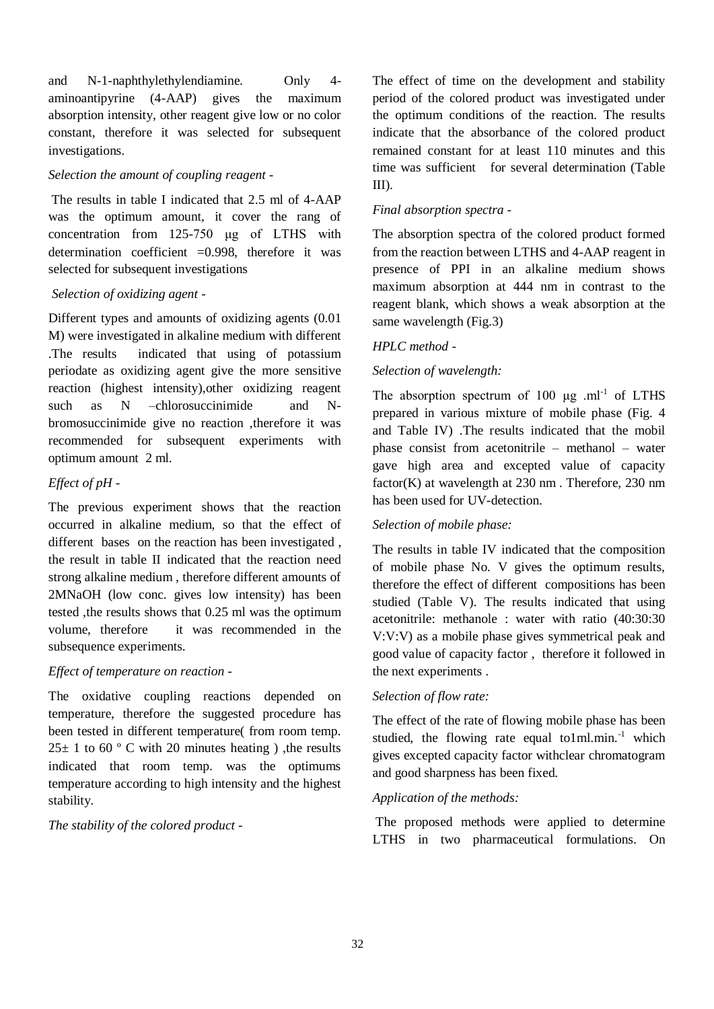and N-1-naphthylethylendiamine. Only 4 aminoantipyrine (4-AAP) gives the maximum absorption intensity, other reagent give low or no color constant, therefore it was selected for subsequent investigations.

## *Selection the amount of coupling reagent -*

The results in table I indicated that 2.5 ml of 4-AAP was the optimum amount, it cover the rang of concentration from 125-750 μg of LTHS with determination coefficient  $=0.998$ , therefore it was selected for subsequent investigations

## *Selection of oxidizing agent -*

Different types and amounts of oxidizing agents (0.01 M) were investigated in alkaline medium with different .The results indicated that using of potassium periodate as oxidizing agent give the more sensitive reaction (highest intensity),other oxidizing reagent such as N –chlorosuccinimide and Nbromosuccinimide give no reaction ,therefore it was recommended for subsequent experiments with optimum amount 2 ml.

## *Effect of pH -*

The previous experiment shows that the reaction occurred in alkaline medium, so that the effect of different bases on the reaction has been investigated , the result in table II indicated that the reaction need strong alkaline medium , therefore different amounts of 2MNaOH (low conc. gives low intensity) has been tested ,the results shows that 0.25 ml was the optimum volume, therefore it was recommended in the subsequence experiments.

## *Effect of temperature on reaction -*

The oxidative coupling reactions depended on temperature, therefore the suggested procedure has been tested in different temperature( from room temp.  $25\pm$  1 to 60 ° C with 20 minutes heating ), the results indicated that room temp. was the optimums temperature according to high intensity and the highest stability.

*The stability of the colored product -*

The effect of time on the development and stability period of the colored product was investigated under the optimum conditions of the reaction. The results indicate that the absorbance of the colored product remained constant for at least 110 minutes and this time was sufficient for several determination (Table III).

## *Final absorption spectra -*

The absorption spectra of the colored product formed from the reaction between LTHS and 4-AAP reagent in presence of PPI in an alkaline medium shows maximum absorption at 444 nm in contrast to the reagent blank, which shows a weak absorption at the same wavelength (Fig.3)

## *HPLC method -*

## *Selection of wavelength:*

The absorption spectrum of  $100 \mu g$  .ml<sup>-1</sup> of LTHS prepared in various mixture of mobile phase (Fig. 4 and Table IV) .The results indicated that the mobil phase consist from acetonitrile – methanol – water gave high area and excepted value of capacity factor(K) at wavelength at 230 nm . Therefore, 230 nm has been used for UV-detection.

## *Selection of mobile phase:*

The results in table IV indicated that the composition of mobile phase No. V gives the optimum results, therefore the effect of different compositions has been studied (Table V). The results indicated that using acetonitrile: methanole : water with ratio (40:30:30 V:V:V) as a mobile phase gives symmetrical peak and good value of capacity factor , therefore it followed in the next experiments .

## *Selection of flow rate:*

The effect of the rate of flowing mobile phase has been studied, the flowing rate equal to1ml.min. $^{-1}$  which gives excepted capacity factor withclear chromatogram and good sharpness has been fixed.

## *Application of the methods:*

The proposed methods were applied to determine LTHS in two pharmaceutical formulations. On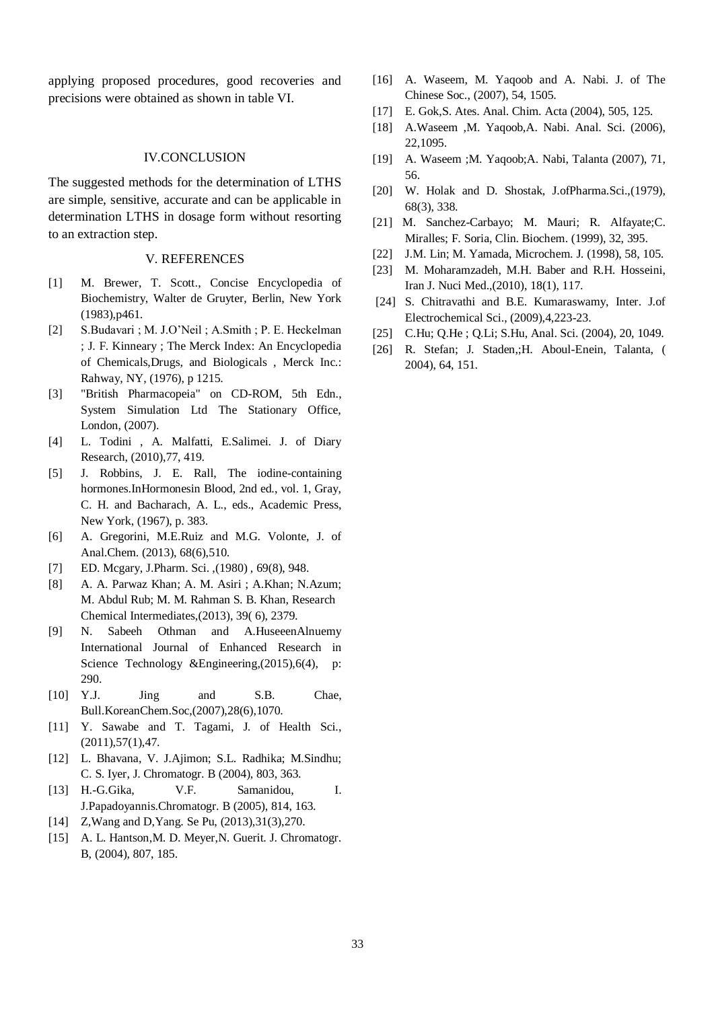applying proposed procedures, good recoveries and precisions were obtained as shown in table VI.

#### IV.CONCLUSION

The suggested methods for the determination of LTHS are simple, sensitive, accurate and can be applicable in determination LTHS in dosage form without resorting to an extraction step.

#### V. REFERENCES

- [1] M. Brewer, T. Scott., Concise Encyclopedia of Biochemistry, Walter de Gruyter, Berlin, New York (1983),p461.
- [2] S.Budavari ; M. J.O'Neil ; A.Smith ; P. E. Heckelman ; J. F. Kinneary ; The Merck Index: An Encyclopedia of Chemicals,Drugs, and Biologicals , Merck Inc.: Rahway, NY, (1976), p 1215.
- [3] "British Pharmacopeia" on CD-ROM, 5th Edn., System Simulation Ltd The Stationary Office, London, (2007).
- [4] L. Todini , A. Malfatti, E.Salimei. J. of Diary Research, (2010),77, 419.
- [5] J. Robbins, J. E. Rall, The iodine-containing hormones.InHormonesin Blood, 2nd ed., vol. 1, Gray, C. H. and Bacharach, A. L., eds., Academic Press, New York, (1967), p. 383.
- [6] A. Gregorini, M.E.Ruiz and M.G. Volonte, J. of Anal.Chem. (2013), 68(6),510.
- [7] ED. Mcgary, J.Pharm. Sci. ,(1980) , 69(8), 948.
- [8] A. A. Parwaz Khan; A. M. Asiri ; A.Khan; N.Azum; M. Abdul Rub; M. M. Rahman S. B. Khan, Research Chemical Intermediates,(2013), 39( 6), 2379.
- [9] N. Sabeeh Othman and A.HuseeenAlnuemy International Journal of Enhanced Research in Science Technology &Engineering,(2015),6(4), p: 290.
- [10] Y.J. Jing and S.B. Chae, Bull.KoreanChem.Soc,(2007),28(6),1070.
- [11] Y. Sawabe and T. Tagami, J. of Health Sci.,  $(2011), 57(1), 47.$
- [12] L. Bhavana, V. J.Ajimon; S.L. Radhika; M.Sindhu; C. S. Iyer, J. Chromatogr. B (2004), 803, 363.
- [13] H.-G.Gika, V.F. Samanidou, I. J.Papadoyannis.Chromatogr. B (2005), 814, 163.
- [14] Z, Wang and D, Yang. Se Pu, (2013), 31(3), 270.
- [15] A. L. Hantson, M. D. Meyer, N. Guerit. J. Chromatogr. B, (2004), 807, 185.
- [16] A. Waseem, M. Yaqoob and A. Nabi. J. of The Chinese Soc., (2007), 54, 1505.
- [17] E. Gok,S. Ates. Anal. Chim. Acta (2004), 505, 125.
- [18] A.Waseem ,M. Yaqoob,A. Nabi. Anal. Sci. (2006), 22,1095.
- [19] A. Waseem ;M. Yaqoob;A. Nabi, Talanta (2007), 71, 56.
- [20] W. Holak and D. Shostak, J.ofPharma.Sci.,(1979), 68(3), 338.
- [21] M. Sanchez-Carbayo; M. Mauri; R. Alfayate; C. Miralles; F. Soria, Clin. Biochem. (1999), 32, 395.
- [22] J.M. Lin; M. Yamada, Microchem. J. (1998), 58, 105.
- [23] M. Moharamzadeh, M.H. Baber and R.H. Hosseini, Iran J. Nuci Med.,(2010), 18(1), 117.
- [24] S. Chitravathi and B.E. Kumaraswamy, Inter. J.of Electrochemical Sci., (2009),4,223-23.
- [25] C.Hu; Q.He ; Q.Li; S.Hu, Anal. Sci. (2004), 20, 1049.
- [26] R. Stefan; J. Staden,;H. Aboul-Enein, Talanta, ( 2004), 64, 151.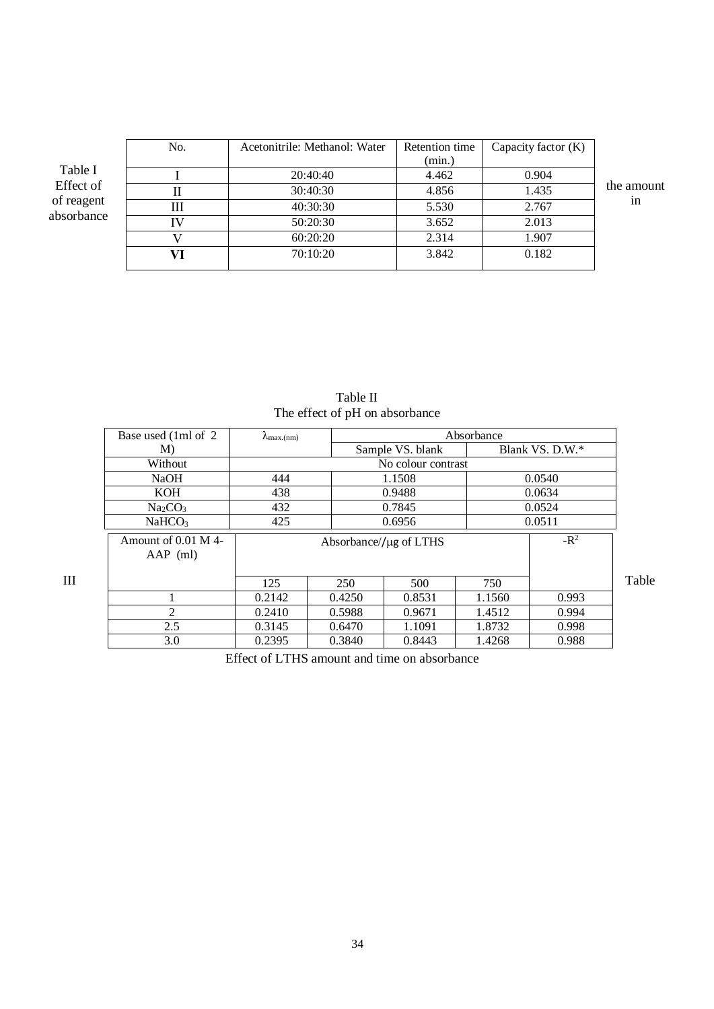|                                                  | No. | Acetonitrile: Methanol: Water | Retention time | Capacity factor $(K)$ |            |
|--------------------------------------------------|-----|-------------------------------|----------------|-----------------------|------------|
| Table I<br>Effect of<br>of reagent<br>absorbance |     |                               | (min.)         |                       |            |
|                                                  |     | 20:40:40                      | 4.462          | 0.904<br>1.435        | the amount |
|                                                  |     | 30:40:30                      | 4.856          |                       |            |
|                                                  | Ш   | 40:30:30                      | 5.530          | 2.767                 | 1n         |
|                                                  |     | 50:20:30                      | 3.652          | 2.013                 |            |
|                                                  |     | 60:20:20                      | 2.314          | 1.907                 |            |
|                                                  |     | 70:10:20                      | 3.842          | 0.182                 |            |
|                                                  |     |                               |                |                       |            |

| Table II                       |  |
|--------------------------------|--|
| The effect of pH on absorbance |  |

|   | Base used (1ml of 2)              | Absorbance<br>$\lambda_{\text{max.(nm)}}$ |                  |        |        |                 |       |
|---|-----------------------------------|-------------------------------------------|------------------|--------|--------|-----------------|-------|
|   | M)                                |                                           | Sample VS. blank |        |        | Blank VS. D.W.* |       |
|   | Without                           |                                           |                  |        |        |                 |       |
|   | <b>NaOH</b>                       | 444                                       |                  | 1.1508 |        | 0.0540          |       |
|   | KOH                               | 438                                       | 0.9488           |        |        | 0.0634          |       |
|   | Na <sub>2</sub> CO <sub>3</sub>   | 432                                       |                  | 0.7845 |        | 0.0524          |       |
|   | NaHCO <sub>3</sub>                | 425                                       |                  | 0.6956 |        | 0.0511          |       |
|   | Amount of 0.01 M 4-<br>$AAP$ (ml) | Absorbance/ $/\mu$ g of LTHS              |                  |        |        | $-R^2$          |       |
| Ш |                                   | 125                                       | 250              | 500    | 750    |                 | Table |
|   |                                   | 0.2142                                    | 0.4250           | 0.8531 | 1.1560 | 0.993           |       |
|   | $\overline{2}$                    | 0.2410                                    | 0.5988           | 0.9671 | 1.4512 | 0.994           |       |
|   | 2.5                               | 0.3145                                    | 0.6470           | 1.1091 | 1.8732 | 0.998           |       |
|   | 3.0                               | 0.2395                                    | 0.3840           | 0.8443 | 1.4268 | 0.988           |       |

Effect of LTHS amount and time on absorbance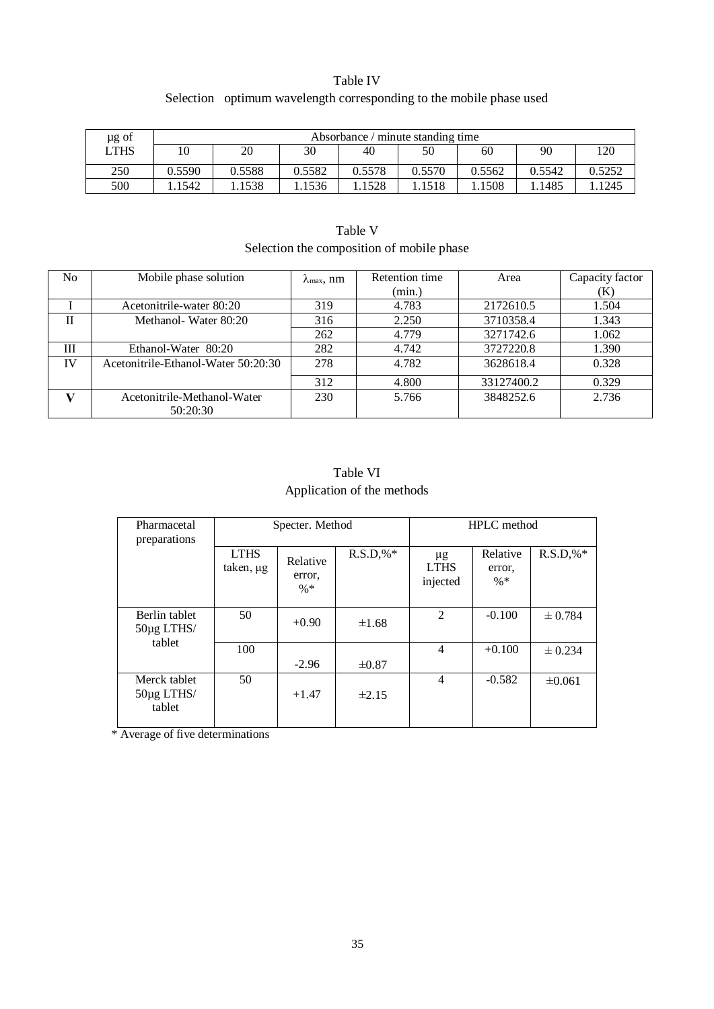## Table IV Selection optimum wavelength corresponding to the mobile phase used

| µg of | Absorbance / minute standing time |        |        |        |        |        |        |        |
|-------|-----------------------------------|--------|--------|--------|--------|--------|--------|--------|
| LTHS  |                                   | 20     | 30     | 40     | 50     | 60     | 90     | 120    |
| 250   | 0.5590                            | 0.5588 | 0.5582 | 0.5578 | 0.5570 | 0.5562 | 0.5542 | 0.5252 |
| 500   | .1542                             | .1538  | .1536  | .1528  | .1518  | 1508   | .1485  | 1245   |

| Selection the composition of mobile phase |                                     |                             |                |            |                 |  |  |  |
|-------------------------------------------|-------------------------------------|-----------------------------|----------------|------------|-----------------|--|--|--|
| N <sub>o</sub>                            | Mobile phase solution               | $\lambda_{\text{max}}$ , nm | Retention time | Area       | Capacity factor |  |  |  |
|                                           |                                     |                             | (min.)         |            | (K)             |  |  |  |
|                                           | Acetonitrile-water 80:20            | 319                         | 4.783          | 2172610.5  | 1.504           |  |  |  |
| $\mathbf{I}$                              | Methanol-Water 80:20                | 316                         | 2.250          | 3710358.4  | 1.343           |  |  |  |
|                                           |                                     | 262                         | 4.779          | 3271742.6  | 1.062           |  |  |  |
| Ш                                         | Ethanol-Water 80:20                 | 282                         | 4.742          | 3727220.8  | 1.390           |  |  |  |
| IV                                        | Acetonitrile-Ethanol-Water 50:20:30 | 278                         | 4.782          | 3628618.4  | 0.328           |  |  |  |
|                                           |                                     | 312                         | 4.800          | 33127400.2 | 0.329           |  |  |  |
| V                                         | Acetonitrile-Methanol-Water         | 230                         | 5.766          | 3848252.6  | 2.736           |  |  |  |
|                                           | 50:20:30                            |                             |                |            |                 |  |  |  |

# Table V

## Table VI Application of the methods

| Pharmacetal<br>preparations           | Specter. Method          |                              |             | <b>HPLC</b> method                 |                              |             |
|---------------------------------------|--------------------------|------------------------------|-------------|------------------------------------|------------------------------|-------------|
|                                       | <b>LTHS</b><br>taken, µg | Relative<br>error,<br>$\% *$ | $R.S.D.$ %* | $\mu$ g<br><b>LTHS</b><br>injected | Relative<br>error,<br>$\% *$ | $R.S.D.$ %* |
| Berlin tablet<br>50µg LTHS/<br>tablet | 50                       | $+0.90$                      | $\pm 1.68$  | 2                                  | $-0.100$                     | $\pm 0.784$ |
|                                       | 100                      | $-2.96$                      | $\pm 0.87$  | $\overline{4}$                     | $+0.100$                     | $\pm 0.234$ |
| Merck tablet<br>50µg LTHS/<br>tablet  | 50                       | $+1.47$                      | $\pm 2.15$  | 4                                  | $-0.582$                     | $\pm 0.061$ |

\* Average of five determinations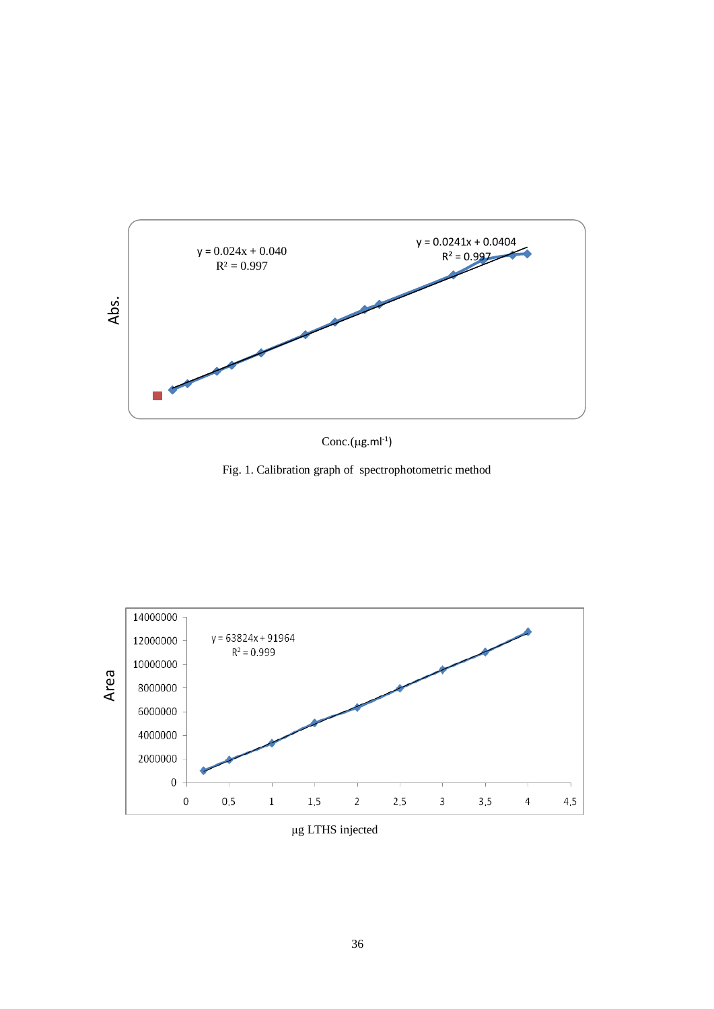

 $Cone.(µg.mI^{-1})$ 

Fig. 1. Calibration graph of spectrophotometric method



μg LTHS injected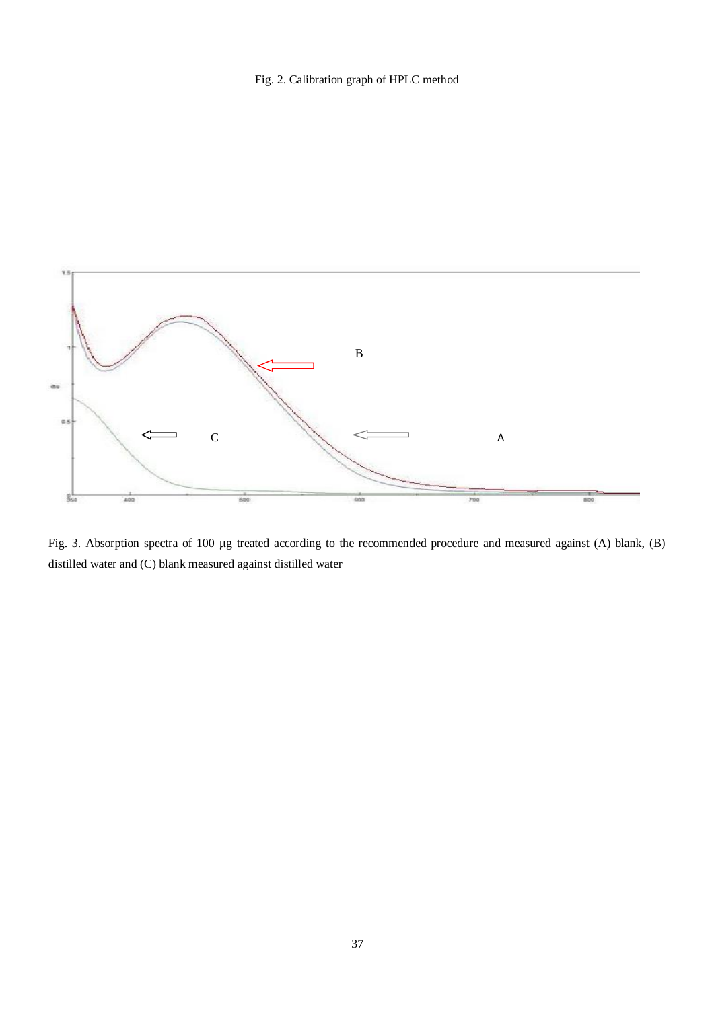Fig. 2. Calibration graph of HPLC method



Fig. 3. Absorption spectra of 100 µg treated according to the recommended procedure and measured against (A) blank, (B) distilled water and (C) blank measured against distilled water